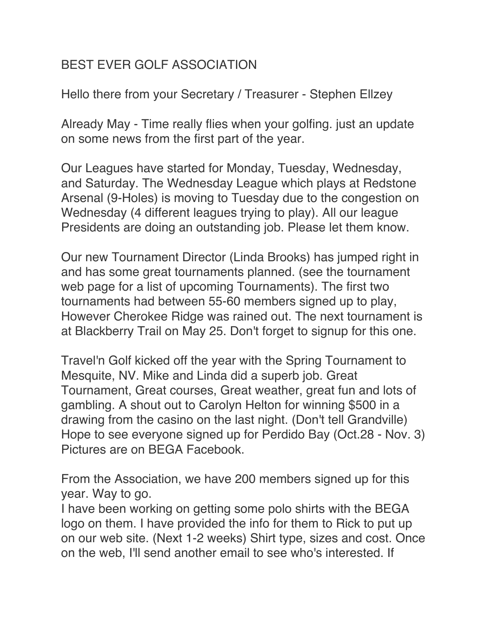## BEST EVER GOLF ASSOCIATION

Hello there from your Secretary / Treasurer - Stephen Ellzey

Already May - Time really flies when your golfing. just an update on some news from the first part of the year.

Our Leagues have started for Monday, Tuesday, Wednesday, and Saturday. The Wednesday League which plays at Redstone Arsenal (9-Holes) is moving to Tuesday due to the congestion on Wednesday (4 different leagues trying to play). All our league Presidents are doing an outstanding job. Please let them know.

Our new Tournament Director (Linda Brooks) has jumped right in and has some great tournaments planned. (see the tournament web page for a list of upcoming Tournaments). The first two tournaments had between 55-60 members signed up to play, However Cherokee Ridge was rained out. The next tournament is at Blackberry Trail on May 25. Don't forget to signup for this one.

Travel'n Golf kicked off the year with the Spring Tournament to Mesquite, NV. Mike and Linda did a superb job. Great Tournament, Great courses, Great weather, great fun and lots of gambling. A shout out to Carolyn Helton for winning \$500 in a drawing from the casino on the last night. (Don't tell Grandville) Hope to see everyone signed up for Perdido Bay (Oct.28 - Nov. 3) Pictures are on BEGA Facebook.

From the Association, we have 200 members signed up for this year. Way to go.

I have been working on getting some polo shirts with the BEGA logo on them. I have provided the info for them to Rick to put up on our web site. (Next 1-2 weeks) Shirt type, sizes and cost. Once on the web, I'll send another email to see who's interested. If